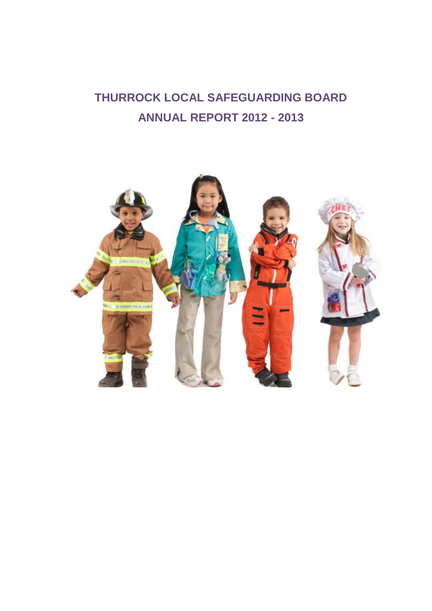# **THURROCK LOCAL SAFEGUARDING BOARD ANNUAL REPORT 2012 - 2013**

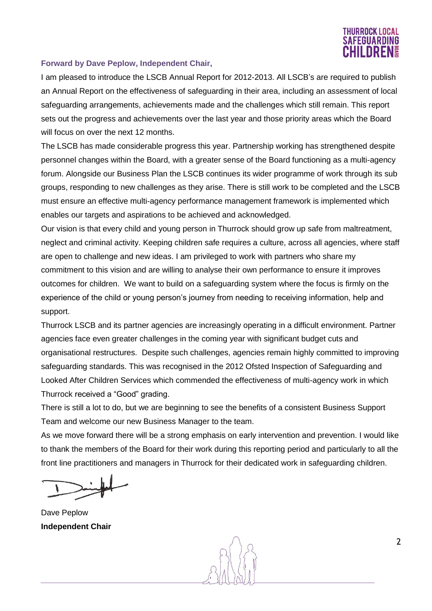# THURROCK LOCAL **FEGUARDIN** IHII DRFN§

# **Forward by Dave Peplow, Independent Chair,**

I am pleased to introduce the LSCB Annual Report for 2012-2013. All LSCB's are required to publish an Annual Report on the effectiveness of safeguarding in their area, including an assessment of local safeguarding arrangements, achievements made and the challenges which still remain. This report sets out the progress and achievements over the last year and those priority areas which the Board will focus on over the next 12 months.

The LSCB has made considerable progress this year. Partnership working has strengthened despite personnel changes within the Board, with a greater sense of the Board functioning as a multi-agency forum. Alongside our Business Plan the LSCB continues its wider programme of work through its sub groups, responding to new challenges as they arise. There is still work to be completed and the LSCB must ensure an effective multi-agency performance management framework is implemented which enables our targets and aspirations to be achieved and acknowledged.

Our vision is that every child and young person in Thurrock should grow up safe from maltreatment, neglect and criminal activity. Keeping children safe requires a culture, across all agencies, where staff are open to challenge and new ideas. I am privileged to work with partners who share my commitment to this vision and are willing to analyse their own performance to ensure it improves outcomes for children. We want to build on a safeguarding system where the focus is firmly on the experience of the child or young person's journey from needing to receiving information, help and support.

Thurrock LSCB and its partner agencies are increasingly operating in a difficult environment. Partner agencies face even greater challenges in the coming year with significant budget cuts and organisational restructures. Despite such challenges, agencies remain highly committed to improving safeguarding standards. This was recognised in the 2012 Ofsted Inspection of Safeguarding and Looked After Children Services which commended the effectiveness of multi-agency work in which Thurrock received a "Good" grading.

There is still a lot to do, but we are beginning to see the benefits of a consistent Business Support Team and welcome our new Business Manager to the team.

As we move forward there will be a strong emphasis on early intervention and prevention. I would like to thank the members of the Board for their work during this reporting period and particularly to all the front line practitioners and managers in Thurrock for their dedicated work in safeguarding children.

Dave Peplow **Independent Chair**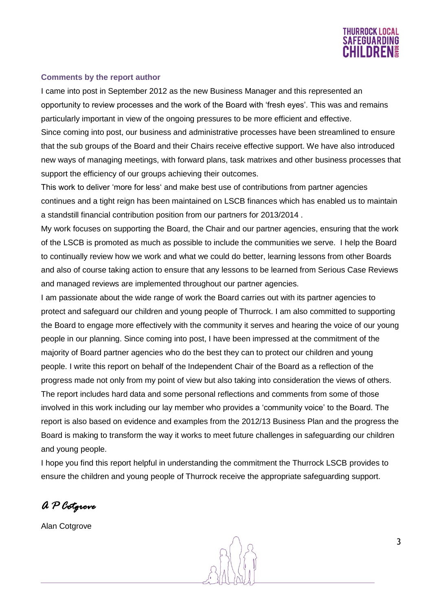

#### **Comments by the report author**

I came into post in September 2012 as the new Business Manager and this represented an opportunity to review processes and the work of the Board with 'fresh eyes'. This was and remains particularly important in view of the ongoing pressures to be more efficient and effective. Since coming into post, our business and administrative processes have been streamlined to ensure that the sub groups of the Board and their Chairs receive effective support. We have also introduced new ways of managing meetings, with forward plans, task matrixes and other business processes that support the efficiency of our groups achieving their outcomes.

This work to deliver 'more for less' and make best use of contributions from partner agencies continues and a tight reign has been maintained on LSCB finances which has enabled us to maintain a standstill financial contribution position from our partners for 2013/2014 .

My work focuses on supporting the Board, the Chair and our partner agencies, ensuring that the work of the LSCB is promoted as much as possible to include the communities we serve. I help the Board to continually review how we work and what we could do better, learning lessons from other Boards and also of course taking action to ensure that any lessons to be learned from Serious Case Reviews and managed reviews are implemented throughout our partner agencies.

I am passionate about the wide range of work the Board carries out with its partner agencies to protect and safeguard our children and young people of Thurrock. I am also committed to supporting the Board to engage more effectively with the community it serves and hearing the voice of our young people in our planning. Since coming into post, I have been impressed at the commitment of the majority of Board partner agencies who do the best they can to protect our children and young people. I write this report on behalf of the Independent Chair of the Board as a reflection of the progress made not only from my point of view but also taking into consideration the views of others. The report includes hard data and some personal reflections and comments from some of those involved in this work including our lay member who provides a 'community voice' to the Board. The report is also based on evidence and examples from the 2012/13 Business Plan and the progress the Board is making to transform the way it works to meet future challenges in safeguarding our children and young people.

I hope you find this report helpful in understanding the commitment the Thurrock LSCB provides to ensure the children and young people of Thurrock receive the appropriate safeguarding support.

*A P Cotgrove* 

Alan Cotgrove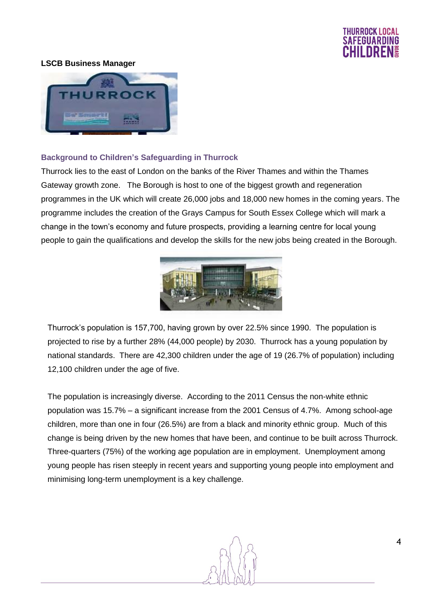

#### **LSCB Business Manager**



#### **Background to Children's Safeguarding in Thurrock**

Thurrock lies to the east of London on the banks of the River Thames and within the Thames Gateway growth zone. The Borough is host to one of the biggest growth and regeneration programmes in the UK which will create 26,000 jobs and 18,000 new homes in the coming years. The programme includes the creation of the Grays Campus for South Essex College which will mark a change in the town's economy and future prospects, providing a learning centre for local young people to gain the qualifications and develop the skills for the new jobs being created in the Borough.



Thurrock's population is 157,700, having grown by over 22.5% since 1990. The population is projected to rise by a further 28% (44,000 people) by 2030. Thurrock has a young population by national standards. There are 42,300 children under the age of 19 (26.7% of population) including 12,100 children under the age of five.

The population is increasingly diverse. According to the 2011 Census the non-white ethnic population was 15.7% – a significant increase from the 2001 Census of 4.7%. Among school-age children, more than one in four (26.5%) are from a black and minority ethnic group. Much of this change is being driven by the new homes that have been, and continue to be built across Thurrock. Three-quarters (75%) of the working age population are in employment. Unemployment among young people has risen steeply in recent years and supporting young people into employment and minimising long-term unemployment is a key challenge.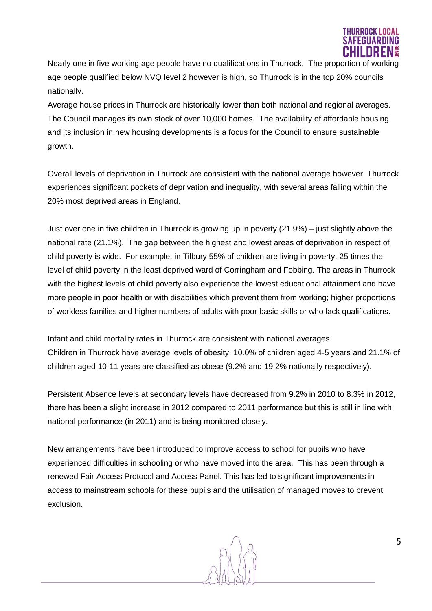

Nearly one in five working age people have no qualifications in Thurrock. The proportion of working age people qualified below NVQ level 2 however is high, so Thurrock is in the top 20% councils nationally.

Average house prices in Thurrock are historically lower than both national and regional averages. The Council manages its own stock of over 10,000 homes. The availability of affordable housing and its inclusion in new housing developments is a focus for the Council to ensure sustainable growth.

Overall levels of deprivation in Thurrock are consistent with the national average however, Thurrock experiences significant pockets of deprivation and inequality, with several areas falling within the 20% most deprived areas in England.

Just over one in five children in Thurrock is growing up in poverty (21.9%) – just slightly above the national rate (21.1%). The gap between the highest and lowest areas of deprivation in respect of child poverty is wide. For example, in Tilbury 55% of children are living in poverty, 25 times the level of child poverty in the least deprived ward of Corringham and Fobbing. The areas in Thurrock with the highest levels of child poverty also experience the lowest educational attainment and have more people in poor health or with disabilities which prevent them from working; higher proportions of workless families and higher numbers of adults with poor basic skills or who lack qualifications.

Infant and child mortality rates in Thurrock are consistent with national averages. Children in Thurrock have average levels of obesity. 10.0% of children aged 4-5 years and 21.1% of children aged 10-11 years are classified as obese (9.2% and 19.2% nationally respectively).

Persistent Absence levels at secondary levels have decreased from 9.2% in 2010 to 8.3% in 2012, there has been a slight increase in 2012 compared to 2011 performance but this is still in line with national performance (in 2011) and is being monitored closely.

New arrangements have been introduced to improve access to school for pupils who have experienced difficulties in schooling or who have moved into the area. This has been through a renewed Fair Access Protocol and Access Panel. This has led to significant improvements in access to mainstream schools for these pupils and the utilisation of managed moves to prevent exclusion.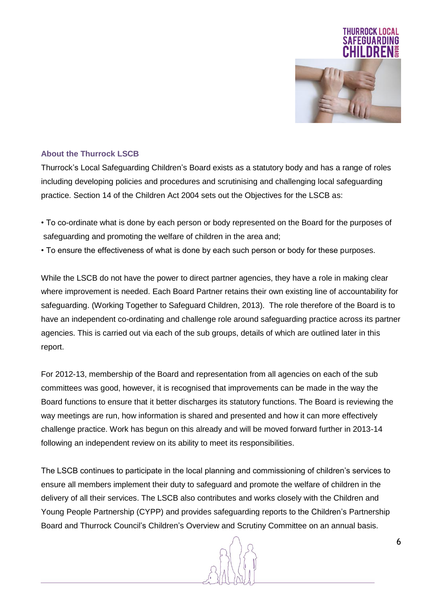

# **About the Thurrock LSCB**

Thurrock's Local Safeguarding Children's Board exists as a statutory body and has a range of roles including developing policies and procedures and scrutinising and challenging local safeguarding practice. Section 14 of the Children Act 2004 sets out the Objectives for the LSCB as:

- To co-ordinate what is done by each person or body represented on the Board for the purposes of safeguarding and promoting the welfare of children in the area and;
- To ensure the effectiveness of what is done by each such person or body for these purposes.

While the LSCB do not have the power to direct partner agencies, they have a role in making clear where improvement is needed. Each Board Partner retains their own existing line of accountability for safeguarding. (Working Together to Safeguard Children, 2013). The role therefore of the Board is to have an independent co-ordinating and challenge role around safeguarding practice across its partner agencies. This is carried out via each of the sub groups, details of which are outlined later in this report.

For 2012-13, membership of the Board and representation from all agencies on each of the sub committees was good, however, it is recognised that improvements can be made in the way the Board functions to ensure that it better discharges its statutory functions. The Board is reviewing the way meetings are run, how information is shared and presented and how it can more effectively challenge practice. Work has begun on this already and will be moved forward further in 2013-14 following an independent review on its ability to meet its responsibilities.

The LSCB continues to participate in the local planning and commissioning of children's services to ensure all members implement their duty to safeguard and promote the welfare of children in the delivery of all their services. The LSCB also contributes and works closely with the Children and Young People Partnership (CYPP) and provides safeguarding reports to the Children's Partnership Board and Thurrock Council's Children's Overview and Scrutiny Committee on an annual basis.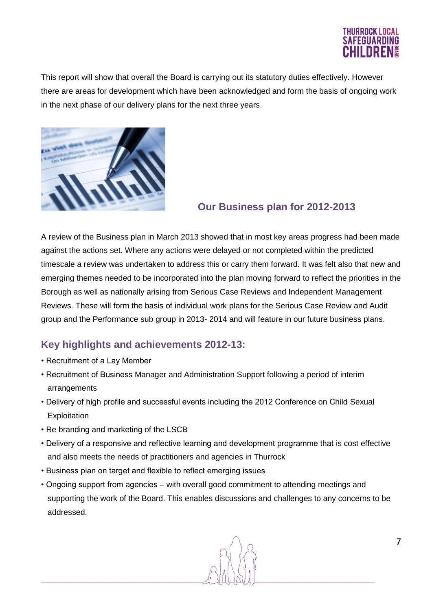

This report will show that overall the Board is carrying out its statutory duties effectively. However there are areas for development which have been acknowledged and form the basis of ongoing work in the next phase of our delivery plans for the next three years.



# **Our Business plan for 2012-2013**

A review of the Business plan in March 2013 showed that in most key areas progress had been made against the actions set. Where any actions were delayed or not completed within the predicted timescale a review was undertaken to address this or carry them forward. It was felt also that new and emerging themes needed to be incorporated into the plan moving forward to reflect the priorities in the Borough as well as nationally arising from Serious Case Reviews and Independent Management Reviews. These will form the basis of individual work plans for the Serious Case Review and Audit group and the Performance sub group in 2013- 2014 and will feature in our future business plans.

# **Key highlights and achievements 2012-13:**

- Recruitment of a Lay Member
- Recruitment of Business Manager and Administration Support following a period of interim arrangements
- Delivery of high profile and successful events including the 2012 Conference on Child Sexual **Exploitation**
- Re branding and marketing of the LSCB
- Delivery of a responsive and reflective learning and development programme that is cost effective and also meets the needs of practitioners and agencies in Thurrock
- Business plan on target and flexible to reflect emerging issues
- Ongoing support from agencies with overall good commitment to attending meetings and supporting the work of the Board. This enables discussions and challenges to any concerns to be addressed.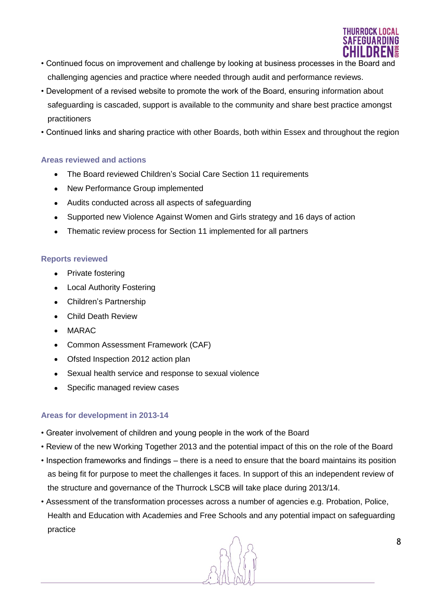

- Continued focus on improvement and challenge by looking at business processes in the Board and challenging agencies and practice where needed through audit and performance reviews.
- Development of a revised website to promote the work of the Board, ensuring information about safeguarding is cascaded, support is available to the community and share best practice amongst practitioners
- Continued links and sharing practice with other Boards, both within Essex and throughout the region

# **Areas reviewed and actions**

- The Board reviewed Children's Social Care Section 11 requirements
- New Performance Group implemented
- Audits conducted across all aspects of safeguarding
- $\bullet$  . Supported new Violence Against Women and Girls strategy and 16 days of action
- Thematic review process for Section 11 implemented for all partners

# **Reports reviewed**

- Private fostering
- Local Authority Fostering
- Children's Partnership
- Child Death Review  $\blacksquare$
- MARAC  $\bullet$
- Common Assessment Framework (CAF)
- Ofsted Inspection 2012 action plan
- Sexual health service and response to sexual violence
- Specific managed review cases

# **Areas for development in 2013-14**

- Greater involvement of children and young people in the work of the Board
- Review of the new Working Together 2013 and the potential impact of this on the role of the Board
- Inspection frameworks and findings there is a need to ensure that the board maintains its position as being fit for purpose to meet the challenges it faces. In support of this an independent review of the structure and governance of the Thurrock LSCB will take place during 2013/14.
- Assessment of the transformation processes across a number of agencies e.g. Probation, Police, Health and Education with Academies and Free Schools and any potential impact on safeguarding practice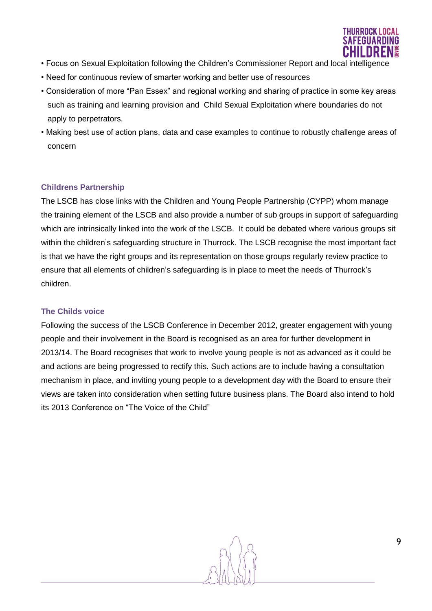

- Focus on Sexual Exploitation following the Children's Commissioner Report and local intelligence
- Need for continuous review of smarter working and better use of resources
- Consideration of more "Pan Essex" and regional working and sharing of practice in some key areas such as training and learning provision and Child Sexual Exploitation where boundaries do not apply to perpetrators.
- Making best use of action plans, data and case examples to continue to robustly challenge areas of concern

# **Childrens Partnership**

The LSCB has close links with the Children and Young People Partnership (CYPP) whom manage the training element of the LSCB and also provide a number of sub groups in support of safeguarding which are intrinsically linked into the work of the LSCB. It could be debated where various groups sit within the children's safeguarding structure in Thurrock. The LSCB recognise the most important fact is that we have the right groups and its representation on those groups regularly review practice to ensure that all elements of children's safeguarding is in place to meet the needs of Thurrock's children.

# **The Childs voice**

Following the success of the LSCB Conference in December 2012, greater engagement with young people and their involvement in the Board is recognised as an area for further development in 2013/14. The Board recognises that work to involve young people is not as advanced as it could be and actions are being progressed to rectify this. Such actions are to include having a consultation mechanism in place, and inviting young people to a development day with the Board to ensure their views are taken into consideration when setting future business plans. The Board also intend to hold its 2013 Conference on "The Voice of the Child"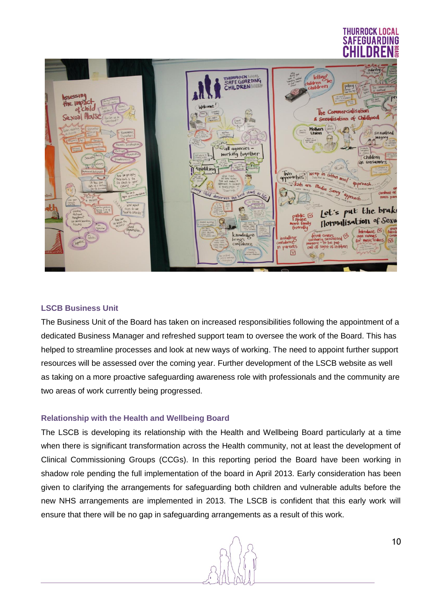# THURROCK LOC FFGIIAR



# **LSCB Business Unit**

The Business Unit of the Board has taken on increased responsibilities following the appointment of a dedicated Business Manager and refreshed support team to oversee the work of the Board. This has helped to streamline processes and look at new ways of working. The need to appoint further support resources will be assessed over the coming year. Further development of the LSCB website as well as taking on a more proactive safeguarding awareness role with professionals and the community are two areas of work currently being progressed.

# **Relationship with the Health and Wellbeing Board**

The LSCB is developing its relationship with the Health and Wellbeing Board particularly at a time when there is significant transformation across the Health community, not at least the development of Clinical Commissioning Groups (CCGs). In this reporting period the Board have been working in shadow role pending the full implementation of the board in April 2013. Early consideration has been given to clarifying the arrangements for safeguarding both children and vulnerable adults before the new NHS arrangements are implemented in 2013. The LSCB is confident that this early work will ensure that there will be no gap in safeguarding arrangements as a result of this work.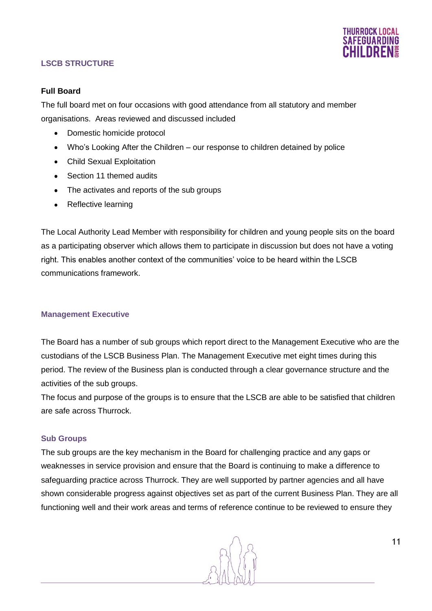

# **LSCB STRUCTURE**

#### **Full Board**

The full board met on four occasions with good attendance from all statutory and member organisations. Areas reviewed and discussed included

- Domestic homicide protocol  $\bullet$
- Who's Looking After the Children our response to children detained by police
- Child Sexual Exploitation
- Section 11 themed audits  $\bullet$
- The activates and reports of the sub groups
- Reflective learning

The Local Authority Lead Member with responsibility for children and young people sits on the board as a participating observer which allows them to participate in discussion but does not have a voting right. This enables another context of the communities' voice to be heard within the LSCB communications framework.

# **Management Executive**

The Board has a number of sub groups which report direct to the Management Executive who are the custodians of the LSCB Business Plan. The Management Executive met eight times during this period. The review of the Business plan is conducted through a clear governance structure and the activities of the sub groups.

The focus and purpose of the groups is to ensure that the LSCB are able to be satisfied that children are safe across Thurrock.

#### **Sub Groups**

The sub groups are the key mechanism in the Board for challenging practice and any gaps or weaknesses in service provision and ensure that the Board is continuing to make a difference to safeguarding practice across Thurrock. They are well supported by partner agencies and all have shown considerable progress against objectives set as part of the current Business Plan. They are all functioning well and their work areas and terms of reference continue to be reviewed to ensure they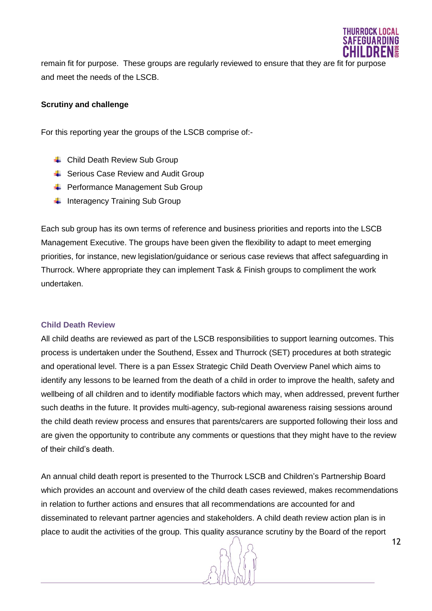

remain fit for purpose. These groups are regularly reviewed to ensure that they are fit for purpose and meet the needs of the LSCB.

#### **Scrutiny and challenge**

For this reporting year the groups of the LSCB comprise of:-

- **↓** Child Death Review Sub Group
- $\overline{\phantom{a}^+}$  Serious Case Review and Audit Group
- **E** Performance Management Sub Group
- $\ddot{\phantom{1}}$  Interagency Training Sub Group

Each sub group has its own terms of reference and business priorities and reports into the LSCB Management Executive. The groups have been given the flexibility to adapt to meet emerging priorities, for instance, new legislation/guidance or serious case reviews that affect safeguarding in Thurrock. Where appropriate they can implement Task & Finish groups to compliment the work undertaken.

#### **Child Death Review**

All child deaths are reviewed as part of the LSCB responsibilities to support learning outcomes. This process is undertaken under the Southend, Essex and Thurrock (SET) procedures at both strategic and operational level. There is a pan Essex Strategic Child Death Overview Panel which aims to identify any lessons to be learned from the death of a child in order to improve the health, safety and wellbeing of all children and to identify modifiable factors which may, when addressed, prevent further such deaths in the future. It provides multi-agency, sub-regional awareness raising sessions around the child death review process and ensures that parents/carers are supported following their loss and are given the opportunity to contribute any comments or questions that they might have to the review of their child's death.

An annual child death report is presented to the Thurrock LSCB and Children's Partnership Board which provides an account and overview of the child death cases reviewed, makes recommendations in relation to further actions and ensures that all recommendations are accounted for and disseminated to relevant partner agencies and stakeholders. A child death review action plan is in place to audit the activities of the group. This quality assurance scrutiny by the Board of the report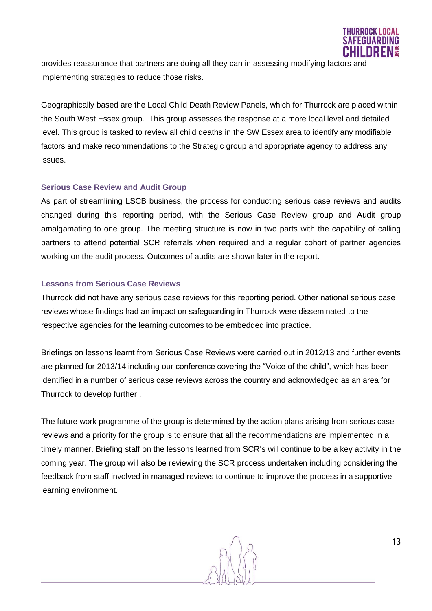

provides reassurance that partners are doing all they can in assessing modifying factors and implementing strategies to reduce those risks.

Geographically based are the Local Child Death Review Panels, which for Thurrock are placed within the South West Essex group. This group assesses the response at a more local level and detailed level. This group is tasked to review all child deaths in the SW Essex area to identify any modifiable factors and make recommendations to the Strategic group and appropriate agency to address any issues.

# **Serious Case Review and Audit Group**

As part of streamlining LSCB business, the process for conducting serious case reviews and audits changed during this reporting period, with the Serious Case Review group and Audit group amalgamating to one group. The meeting structure is now in two parts with the capability of calling partners to attend potential SCR referrals when required and a regular cohort of partner agencies working on the audit process. Outcomes of audits are shown later in the report.

# **Lessons from Serious Case Reviews**

Thurrock did not have any serious case reviews for this reporting period. Other national serious case reviews whose findings had an impact on safeguarding in Thurrock were disseminated to the respective agencies for the learning outcomes to be embedded into practice.

Briefings on lessons learnt from Serious Case Reviews were carried out in 2012/13 and further events are planned for 2013/14 including our conference covering the "Voice of the child", which has been identified in a number of serious case reviews across the country and acknowledged as an area for Thurrock to develop further .

The future work programme of the group is determined by the action plans arising from serious case reviews and a priority for the group is to ensure that all the recommendations are implemented in a timely manner. Briefing staff on the lessons learned from SCR's will continue to be a key activity in the coming year. The group will also be reviewing the SCR process undertaken including considering the feedback from staff involved in managed reviews to continue to improve the process in a supportive learning environment.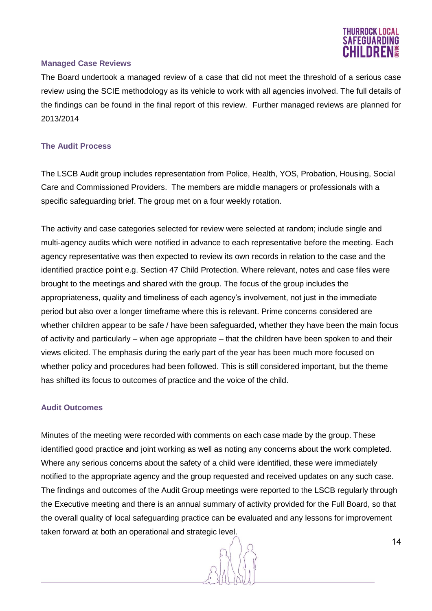

#### **Managed Case Reviews**

The Board undertook a managed review of a case that did not meet the threshold of a serious case review using the SCIE methodology as its vehicle to work with all agencies involved. The full details of the findings can be found in the final report of this review. Further managed reviews are planned for 2013/2014

#### **The Audit Process**

The LSCB Audit group includes representation from Police, Health, YOS, Probation, Housing, Social Care and Commissioned Providers. The members are middle managers or professionals with a specific safeguarding brief. The group met on a four weekly rotation.

The activity and case categories selected for review were selected at random; include single and multi-agency audits which were notified in advance to each representative before the meeting. Each agency representative was then expected to review its own records in relation to the case and the identified practice point e.g. Section 47 Child Protection. Where relevant, notes and case files were brought to the meetings and shared with the group. The focus of the group includes the appropriateness, quality and timeliness of each agency's involvement, not just in the immediate period but also over a longer timeframe where this is relevant. Prime concerns considered are whether children appear to be safe / have been safeguarded, whether they have been the main focus of activity and particularly – when age appropriate – that the children have been spoken to and their views elicited. The emphasis during the early part of the year has been much more focused on whether policy and procedures had been followed. This is still considered important, but the theme has shifted its focus to outcomes of practice and the voice of the child.

#### **Audit Outcomes**

Minutes of the meeting were recorded with comments on each case made by the group. These identified good practice and joint working as well as noting any concerns about the work completed. Where any serious concerns about the safety of a child were identified, these were immediately notified to the appropriate agency and the group requested and received updates on any such case. The findings and outcomes of the Audit Group meetings were reported to the LSCB regularly through the Executive meeting and there is an annual summary of activity provided for the Full Board, so that the overall quality of local safeguarding practice can be evaluated and any lessons for improvement taken forward at both an operational and strategic level.

14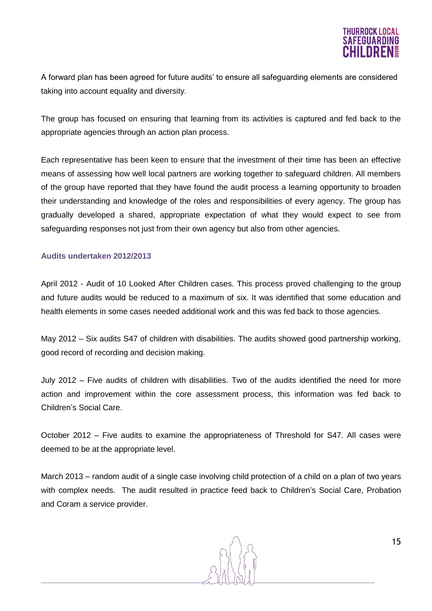

A forward plan has been agreed for future audits' to ensure all safeguarding elements are considered taking into account equality and diversity.

The group has focused on ensuring that learning from its activities is captured and fed back to the appropriate agencies through an action plan process.

Each representative has been keen to ensure that the investment of their time has been an effective means of assessing how well local partners are working together to safeguard children. All members of the group have reported that they have found the audit process a learning opportunity to broaden their understanding and knowledge of the roles and responsibilities of every agency. The group has gradually developed a shared, appropriate expectation of what they would expect to see from safeguarding responses not just from their own agency but also from other agencies.

#### **Audits undertaken 2012/2013**

April 2012 - Audit of 10 Looked After Children cases. This process proved challenging to the group and future audits would be reduced to a maximum of six. It was identified that some education and health elements in some cases needed additional work and this was fed back to those agencies.

May 2012 – Six audits S47 of children with disabilities. The audits showed good partnership working, good record of recording and decision making.

July 2012 – Five audits of children with disabilities. Two of the audits identified the need for more action and improvement within the core assessment process, this information was fed back to Children's Social Care.

October 2012 – Five audits to examine the appropriateness of Threshold for S47. All cases were deemed to be at the appropriate level.

March 2013 – random audit of a single case involving child protection of a child on a plan of two years with complex needs. The audit resulted in practice feed back to Children's Social Care, Probation and Coram a service provider.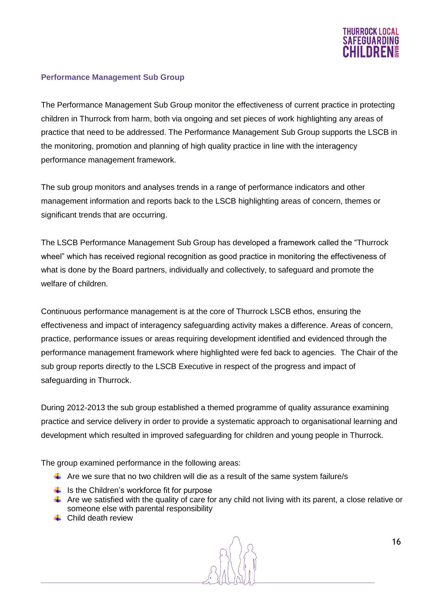

#### **Performance Management Sub Group**

The Performance Management Sub Group monitor the effectiveness of current practice in protecting children in Thurrock from harm, both via ongoing and set pieces of work highlighting any areas of practice that need to be addressed. The Performance Management Sub Group supports the LSCB in the monitoring, promotion and planning of high quality practice in line with the interagency performance management framework.

The sub group monitors and analyses trends in a range of performance indicators and other management information and reports back to the LSCB highlighting areas of concern, themes or significant trends that are occurring.

The LSCB Performance Management Sub Group has developed a framework called the "Thurrock wheel" which has received regional recognition as good practice in monitoring the effectiveness of what is done by the Board partners, individually and collectively, to safeguard and promote the welfare of children.

Continuous performance management is at the core of Thurrock LSCB ethos, ensuring the effectiveness and impact of interagency safeguarding activity makes a difference. Areas of concern, practice, performance issues or areas requiring development identified and evidenced through the performance management framework where highlighted were fed back to agencies. The Chair of the sub group reports directly to the LSCB Executive in respect of the progress and impact of safeguarding in Thurrock.

During 2012-2013 the sub group established a themed programme of quality assurance examining practice and service delivery in order to provide a systematic approach to organisational learning and development which resulted in improved safeguarding for children and young people in Thurrock.

The group examined performance in the following areas:

- $\ddot{\phantom{1}}$  Are we sure that no two children will die as a result of the same system failure/s
- $\ddot{\bullet}$  Is the Children's workforce fit for purpose
- $\triangleq$  Are we satisfied with the quality of care for any child not living with its parent, a close relative or someone else with parental responsibility
- $\perp$  Child death review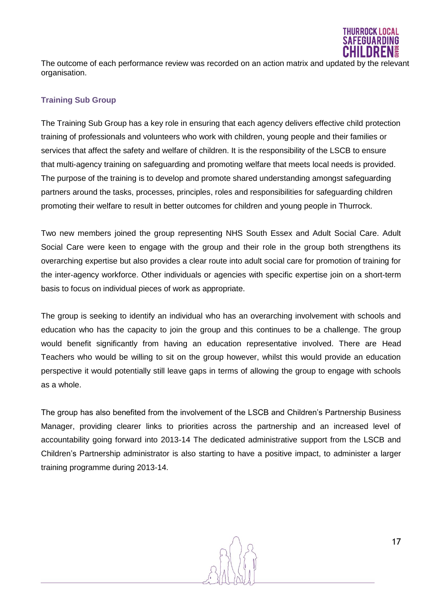

The outcome of each performance review was recorded on an action matrix and updated by the relevant organisation.

# **Training Sub Group**

The Training Sub Group has a key role in ensuring that each agency delivers effective child protection training of professionals and volunteers who work with children, young people and their families or services that affect the safety and welfare of children. It is the responsibility of the LSCB to ensure that multi-agency training on safeguarding and promoting welfare that meets local needs is provided. The purpose of the training is to develop and promote shared understanding amongst safeguarding partners around the tasks, processes, principles, roles and responsibilities for safeguarding children promoting their welfare to result in better outcomes for children and young people in Thurrock.

Two new members joined the group representing NHS South Essex and Adult Social Care. Adult Social Care were keen to engage with the group and their role in the group both strengthens its overarching expertise but also provides a clear route into adult social care for promotion of training for the inter-agency workforce. Other individuals or agencies with specific expertise join on a short-term basis to focus on individual pieces of work as appropriate.

The group is seeking to identify an individual who has an overarching involvement with schools and education who has the capacity to join the group and this continues to be a challenge. The group would benefit significantly from having an education representative involved. There are Head Teachers who would be willing to sit on the group however, whilst this would provide an education perspective it would potentially still leave gaps in terms of allowing the group to engage with schools as a whole.

The group has also benefited from the involvement of the LSCB and Children's Partnership Business Manager, providing clearer links to priorities across the partnership and an increased level of accountability going forward into 2013-14 The dedicated administrative support from the LSCB and Children's Partnership administrator is also starting to have a positive impact, to administer a larger training programme during 2013-14.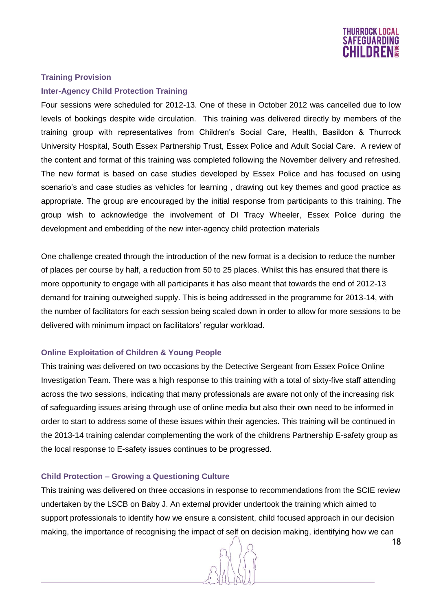

#### **Training Provision**

#### **Inter-Agency Child Protection Training**

Four sessions were scheduled for 2012-13. One of these in October 2012 was cancelled due to low levels of bookings despite wide circulation. This training was delivered directly by members of the training group with representatives from Children's Social Care, Health, Basildon & Thurrock University Hospital, South Essex Partnership Trust, Essex Police and Adult Social Care. A review of the content and format of this training was completed following the November delivery and refreshed. The new format is based on case studies developed by Essex Police and has focused on using scenario's and case studies as vehicles for learning , drawing out key themes and good practice as appropriate. The group are encouraged by the initial response from participants to this training. The group wish to acknowledge the involvement of DI Tracy Wheeler, Essex Police during the development and embedding of the new inter-agency child protection materials

One challenge created through the introduction of the new format is a decision to reduce the number of places per course by half, a reduction from 50 to 25 places. Whilst this has ensured that there is more opportunity to engage with all participants it has also meant that towards the end of 2012-13 demand for training outweighed supply. This is being addressed in the programme for 2013-14, with the number of facilitators for each session being scaled down in order to allow for more sessions to be delivered with minimum impact on facilitators' regular workload.

#### **Online Exploitation of Children & Young People**

This training was delivered on two occasions by the Detective Sergeant from Essex Police Online Investigation Team. There was a high response to this training with a total of sixty-five staff attending across the two sessions, indicating that many professionals are aware not only of the increasing risk of safeguarding issues arising through use of online media but also their own need to be informed in order to start to address some of these issues within their agencies. This training will be continued in the 2013-14 training calendar complementing the work of the childrens Partnership E-safety group as the local response to E-safety issues continues to be progressed.

#### **Child Protection – Growing a Questioning Culture**

This training was delivered on three occasions in response to recommendations from the SCIE review undertaken by the LSCB on Baby J. An external provider undertook the training which aimed to support professionals to identify how we ensure a consistent, child focused approach in our decision making, the importance of recognising the impact of self on decision making, identifying how we can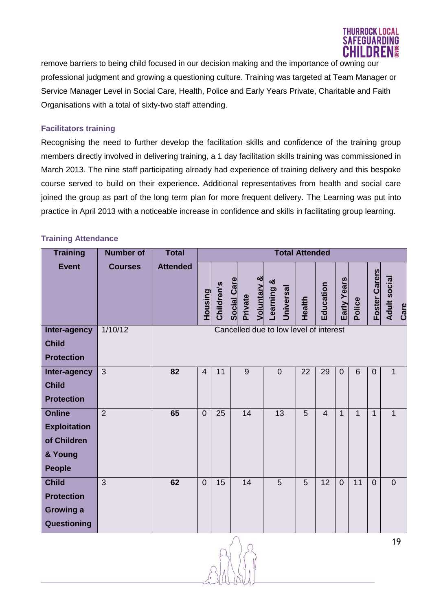

remove barriers to being child focused in our decision making and the importance of owning our professional judgment and growing a questioning culture. Training was targeted at Team Manager or Service Manager Level in Social Care, Health, Police and Early Years Private, Charitable and Faith Organisations with a total of sixty-two staff attending.

# **Facilitators training**

Recognising the need to further develop the facilitation skills and confidence of the training group members directly involved in delivering training, a 1 day facilitation skills training was commissioned in March 2013. The nine staff participating already had experience of training delivery and this bespoke course served to build on their experience. Additional representatives from health and social care joined the group as part of the long term plan for more frequent delivery. The Learning was put into practice in April 2013 with a noticeable increase in confidence and skills in facilitating group learning.

# **Training Attendance**

| <b>Training</b>                                                                 | <b>Number of</b> | <b>Total</b>    | <b>Total Attended</b> |            |                                                         |                                        |        |                |                |                |                      |                             |
|---------------------------------------------------------------------------------|------------------|-----------------|-----------------------|------------|---------------------------------------------------------|----------------------------------------|--------|----------------|----------------|----------------|----------------------|-----------------------------|
| <b>Event</b>                                                                    | <b>Courses</b>   | <b>Attended</b> | Housing               | Children's | <b>Voluntary &amp;</b><br><b>Social Care</b><br>Private | ಯ<br>earning<br>Universal              | Health | Education      | Early Years    | Police         | <b>Foster Carers</b> | <b>Adult social</b><br>Care |
| Inter-agency<br><b>Child</b>                                                    | 1/10/12          |                 |                       |            |                                                         | Cancelled due to low level of interest |        |                |                |                |                      |                             |
| <b>Protection</b>                                                               |                  |                 |                       |            |                                                         |                                        |        |                |                |                |                      |                             |
| Inter-agency<br><b>Child</b><br><b>Protection</b>                               | 3                | 82              | $\overline{4}$        | 11         | 9                                                       | $\overline{0}$                         | 22     | 29             | $\mathbf{0}$   | 6              | $\overline{0}$       | $\mathbf{1}$                |
| <b>Online</b><br><b>Exploitation</b><br>of Children<br>& Young<br><b>People</b> | $\overline{2}$   | 65              | $\overline{0}$        | 25         | $\overline{14}$                                         | 13                                     | 5      | $\overline{4}$ | $\mathbf{1}$   | $\overline{1}$ | $\mathbf{1}$         | 1                           |
| <b>Child</b><br><b>Protection</b><br><b>Growing a</b><br>Questioning            | 3                | 62              | $\overline{0}$        | 15         | 14                                                      | 5                                      | 5      | 12             | $\overline{0}$ | 11             | $\overline{0}$       | $\overline{0}$              |

19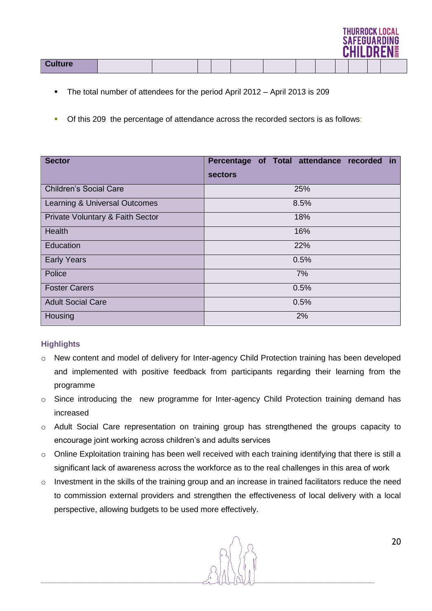|                |  |  |  |  | .<br><b>SAFEGUARDING</b><br><b>CHILDREN!</b> |  |
|----------------|--|--|--|--|----------------------------------------------|--|
| <b>Culture</b> |  |  |  |  |                                              |  |

- The total number of attendees for the period April 2012 April 2013 is 209
- Of this 209 the percentage of attendance across the recorded sectors is as follows:

| <b>Sector</b>                    | Percentage of Total attendance recorded in |  |  |  |  |  |  |  |  |
|----------------------------------|--------------------------------------------|--|--|--|--|--|--|--|--|
|                                  | sectors                                    |  |  |  |  |  |  |  |  |
| <b>Children's Social Care</b>    | 25%                                        |  |  |  |  |  |  |  |  |
| Learning & Universal Outcomes    | 8.5%                                       |  |  |  |  |  |  |  |  |
| Private Voluntary & Faith Sector | 18%                                        |  |  |  |  |  |  |  |  |
| Health                           | 16%                                        |  |  |  |  |  |  |  |  |
| Education                        | 22%                                        |  |  |  |  |  |  |  |  |
| <b>Early Years</b>               | 0.5%                                       |  |  |  |  |  |  |  |  |
| Police                           | 7%                                         |  |  |  |  |  |  |  |  |
| <b>Foster Carers</b>             | 0.5%                                       |  |  |  |  |  |  |  |  |
| <b>Adult Social Care</b>         | 0.5%                                       |  |  |  |  |  |  |  |  |
| Housing                          | 2%                                         |  |  |  |  |  |  |  |  |

# **Highlights**

- o New content and model of delivery for Inter-agency Child Protection training has been developed and implemented with positive feedback from participants regarding their learning from the programme
- o Since introducing the new programme for Inter-agency Child Protection training demand has increased
- o Adult Social Care representation on training group has strengthened the groups capacity to encourage joint working across children's and adults services
- o Online Exploitation training has been well received with each training identifying that there is still a significant lack of awareness across the workforce as to the real challenges in this area of work
- $\circ$  Investment in the skills of the training group and an increase in trained facilitators reduce the need to commission external providers and strengthen the effectiveness of local delivery with a local perspective, allowing budgets to be used more effectively.

THIIRROCK LOCAL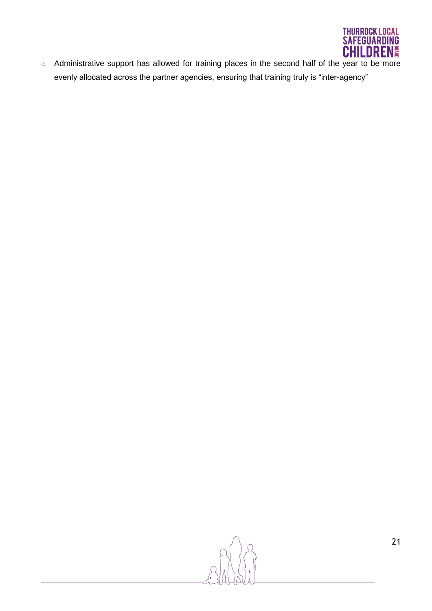

o Administrative support has allowed for training places in the second half of the year to be more evenly allocated across the partner agencies, ensuring that training truly is "inter-agency"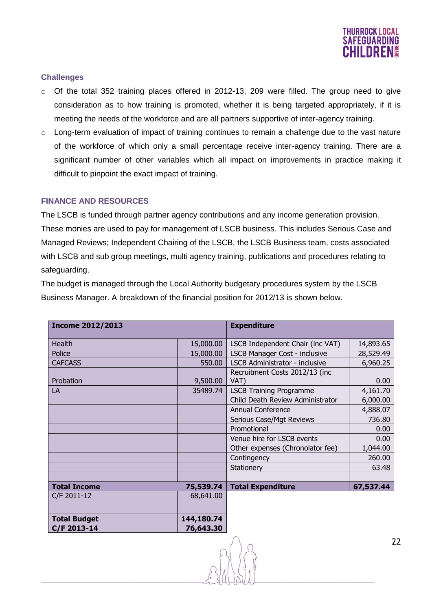

# **Challenges**

- o Of the total 352 training places offered in 2012-13, 209 were filled. The group need to give consideration as to how training is promoted, whether it is being targeted appropriately, if it is meeting the needs of the workforce and are all partners supportive of inter-agency training.
- $\circ$  Long-term evaluation of impact of training continues to remain a challenge due to the vast nature of the workforce of which only a small percentage receive inter-agency training. There are a significant number of other variables which all impact on improvements in practice making it difficult to pinpoint the exact impact of training.

#### **FINANCE AND RESOURCES**

The LSCB is funded through partner agency contributions and any income generation provision. These monies are used to pay for management of LSCB business. This includes Serious Case and Managed Reviews; Independent Chairing of the LSCB, the LSCB Business team, costs associated with LSCB and sub group meetings, multi agency training, publications and procedures relating to safeguarding.

The budget is managed through the Local Authority budgetary procedures system by the LSCB Business Manager. A breakdown of the financial position for 2012/13 is shown below.

| <b>Income 2012/2013</b>            |                         | <b>Expenditure</b>                     |           |
|------------------------------------|-------------------------|----------------------------------------|-----------|
| Health                             | 15,000.00               | LSCB Independent Chair (inc VAT)       | 14,893.65 |
| Police                             | 15,000.00               | LSCB Manager Cost - inclusive          | 28,529.49 |
| <b>CAFCASS</b>                     | 550.00                  | <b>LSCB Administrator - inclusive</b>  | 6,960.25  |
| Probation                          | 9,500.00                | Recruitment Costs 2012/13 (inc<br>VAT) | 0.00      |
| LA                                 | 35489.74                | <b>LSCB Training Programme</b>         | 4,161.70  |
|                                    |                         | Child Death Review Administrator       | 6,000.00  |
|                                    |                         | Annual Conference                      | 4,888.07  |
|                                    |                         | Serious Case/Mgt Reviews               | 736.80    |
|                                    |                         | Promotional                            | 0.00      |
|                                    |                         | Venue hire for LSCB events             | 0.00      |
|                                    |                         | Other expenses (Chronolator fee)       | 1,044.00  |
|                                    |                         | Contingency                            | 260.00    |
|                                    |                         | Stationery                             | 63.48     |
|                                    |                         |                                        |           |
| <b>Total Income</b>                | 75,539.74               | <b>Total Expenditure</b>               | 67,537.44 |
| C/F 2011-12                        | 68,641.00               |                                        |           |
|                                    |                         |                                        |           |
| <b>Total Budget</b><br>C/F 2013-14 | 144,180.74<br>76,643.30 |                                        |           |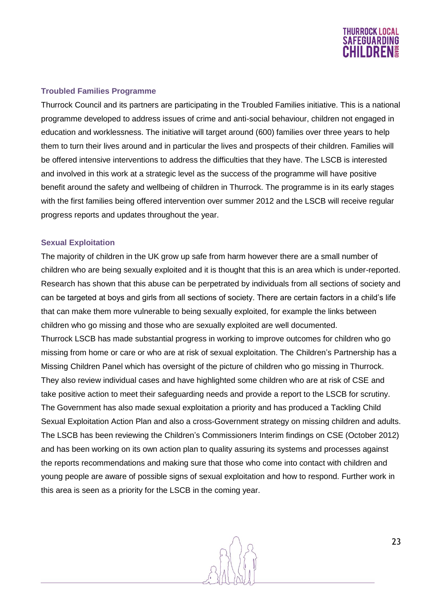

#### **Troubled Families Programme**

Thurrock Council and its partners are participating in the Troubled Families initiative. This is a national programme developed to address issues of crime and anti-social behaviour, children not engaged in education and worklessness. The initiative will target around (600) families over three years to help them to turn their lives around and in particular the lives and prospects of their children. Families will be offered intensive interventions to address the difficulties that they have. The LSCB is interested and involved in this work at a strategic level as the success of the programme will have positive benefit around the safety and wellbeing of children in Thurrock. The programme is in its early stages with the first families being offered intervention over summer 2012 and the LSCB will receive regular progress reports and updates throughout the year.

#### **Sexual Exploitation**

The majority of children in the UK grow up safe from harm however there are a small number of children who are being sexually exploited and it is thought that this is an area which is under-reported. Research has shown that this abuse can be perpetrated by individuals from all sections of society and can be targeted at boys and girls from all sections of society. There are certain factors in a child's life that can make them more vulnerable to being sexually exploited, for example the links between children who go missing and those who are sexually exploited are well documented. Thurrock LSCB has made substantial progress in working to improve outcomes for children who go missing from home or care or who are at risk of sexual exploitation. The Children's Partnership has a Missing Children Panel which has oversight of the picture of children who go missing in Thurrock. They also review individual cases and have highlighted some children who are at risk of CSE and take positive action to meet their safeguarding needs and provide a report to the LSCB for scrutiny. The Government has also made sexual exploitation a priority and has produced a Tackling Child Sexual Exploitation Action Plan and also a cross-Government strategy on missing children and adults. The LSCB has been reviewing the Children's Commissioners Interim findings on CSE (October 2012) and has been working on its own action plan to quality assuring its systems and processes against the reports recommendations and making sure that those who come into contact with children and young people are aware of possible signs of sexual exploitation and how to respond. Further work in this area is seen as a priority for the LSCB in the coming year.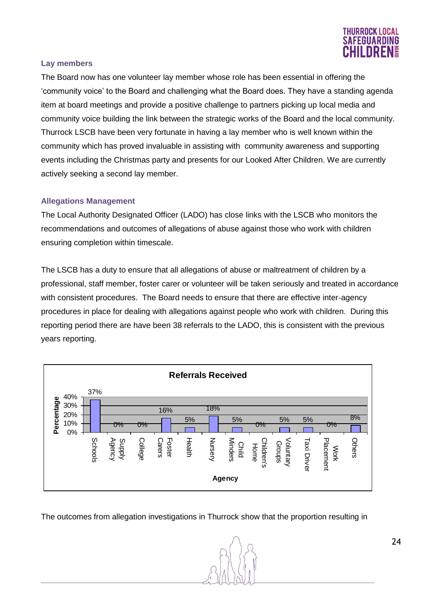

#### **Lay members**

The Board now has one volunteer lay member whose role has been essential in offering the 'community voice' to the Board and challenging what the Board does. They have a standing agenda item at board meetings and provide a positive challenge to partners picking up local media and community voice building the link between the strategic works of the Board and the local community. Thurrock LSCB have been very fortunate in having a lay member who is well known within the community which has proved invaluable in assisting with community awareness and supporting events including the Christmas party and presents for our Looked After Children. We are currently actively seeking a second lay member.

#### **Allegations Management**

The Local Authority Designated Officer (LADO) has close links with the LSCB who monitors the recommendations and outcomes of allegations of abuse against those who work with children ensuring completion within timescale.

The LSCB has a duty to ensure that all allegations of abuse or maltreatment of children by a professional, staff member, foster carer or volunteer will be taken seriously and treated in accordance with consistent procedures. The Board needs to ensure that there are effective inter-agency procedures in place for dealing with allegations against people who work with children. During this reporting period there are have been 38 referrals to the LADO, this is consistent with the previous years reporting.



The outcomes from allegation investigations in Thurrock show that the proportion resulting in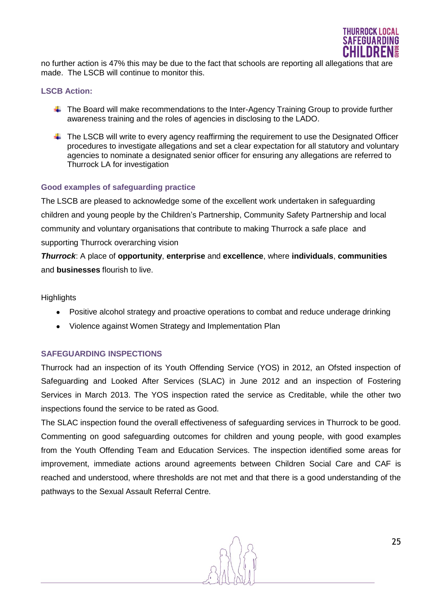

no further action is 47% this may be due to the fact that schools are reporting all allegations that are made. The LSCB will continue to monitor this.

#### **LSCB Action:**

- $\ddot{\phantom{1}}$  The Board will make recommendations to the Inter-Agency Training Group to provide further awareness training and the roles of agencies in disclosing to the LADO.
- $\ddot{+}$  The LSCB will write to every agency reaffirming the requirement to use the Designated Officer procedures to investigate allegations and set a clear expectation for all statutory and voluntary agencies to nominate a designated senior officer for ensuring any allegations are referred to Thurrock LA for investigation

#### **Good examples of safeguarding practice**

The LSCB are pleased to acknowledge some of the excellent work undertaken in safeguarding children and young people by the Children's Partnership, Community Safety Partnership and local community and voluntary organisations that contribute to making Thurrock a safe place and supporting Thurrock overarching vision

*Thurrock*: A place of **opportunity**, **enterprise** and **excellence**, where **individuals**, **communities** and **businesses** flourish to live.

#### **Highlights**

- Positive alcohol strategy and proactive operations to combat and reduce underage drinking
- Violence against Women Strategy and Implementation Plan

#### **SAFEGUARDING INSPECTIONS**

Thurrock had an inspection of its Youth Offending Service (YOS) in 2012, an Ofsted inspection of Safeguarding and Looked After Services (SLAC) in June 2012 and an inspection of Fostering Services in March 2013. The YOS inspection rated the service as Creditable, while the other two inspections found the service to be rated as Good.

The SLAC inspection found the overall effectiveness of safeguarding services in Thurrock to be good. Commenting on good safeguarding outcomes for children and young people, with good examples from the Youth Offending Team and Education Services. The inspection identified some areas for improvement, immediate actions around agreements between Children Social Care and CAF is reached and understood, where thresholds are not met and that there is a good understanding of the pathways to the Sexual Assault Referral Centre.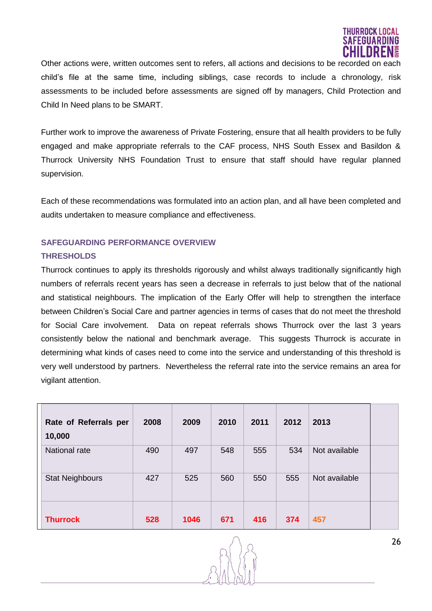

Other actions were, written outcomes sent to refers, all actions and decisions to be recorded on each child's file at the same time, including siblings, case records to include a chronology, risk assessments to be included before assessments are signed off by managers, Child Protection and Child In Need plans to be SMART.

Further work to improve the awareness of Private Fostering, ensure that all health providers to be fully engaged and make appropriate referrals to the CAF process, NHS South Essex and Basildon & Thurrock University NHS Foundation Trust to ensure that staff should have regular planned supervision.

Each of these recommendations was formulated into an action plan, and all have been completed and audits undertaken to measure compliance and effectiveness.

# **SAFEGUARDING PERFORMANCE OVERVIEW**

# **THRESHOLDS**

Thurrock continues to apply its thresholds rigorously and whilst always traditionally significantly high numbers of referrals recent years has seen a decrease in referrals to just below that of the national and statistical neighbours. The implication of the Early Offer will help to strengthen the interface between Children's Social Care and partner agencies in terms of cases that do not meet the threshold for Social Care involvement. Data on repeat referrals shows Thurrock over the last 3 years consistently below the national and benchmark average. This suggests Thurrock is accurate in determining what kinds of cases need to come into the service and understanding of this threshold is very well understood by partners. Nevertheless the referral rate into the service remains an area for vigilant attention.

| Rate of Referrals per<br>10,000 | 2008 | 2009 | 2010 | 2011 | 2012 | 2013          |  |
|---------------------------------|------|------|------|------|------|---------------|--|
| National rate                   | 490  | 497  | 548  | 555  | 534  | Not available |  |
| <b>Stat Neighbours</b>          | 427  | 525  | 560  | 550  | 555  | Not available |  |
| <b>Thurrock</b>                 | 528  | 1046 | 671  | 416  | 374  | 457           |  |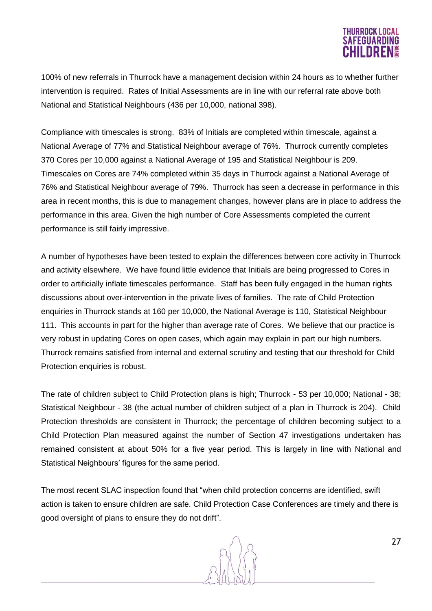# **THURROCK LOCA \FEGUARDI**I

100% of new referrals in Thurrock have a management decision within 24 hours as to whether further intervention is required. Rates of Initial Assessments are in line with our referral rate above both National and Statistical Neighbours (436 per 10,000, national 398).

Compliance with timescales is strong. 83% of Initials are completed within timescale, against a National Average of 77% and Statistical Neighbour average of 76%. Thurrock currently completes 370 Cores per 10,000 against a National Average of 195 and Statistical Neighbour is 209. Timescales on Cores are 74% completed within 35 days in Thurrock against a National Average of 76% and Statistical Neighbour average of 79%. Thurrock has seen a decrease in performance in this area in recent months, this is due to management changes, however plans are in place to address the performance in this area. Given the high number of Core Assessments completed the current performance is still fairly impressive.

A number of hypotheses have been tested to explain the differences between core activity in Thurrock and activity elsewhere. We have found little evidence that Initials are being progressed to Cores in order to artificially inflate timescales performance. Staff has been fully engaged in the human rights discussions about over-intervention in the private lives of families. The rate of Child Protection enquiries in Thurrock stands at 160 per 10,000, the National Average is 110, Statistical Neighbour 111. This accounts in part for the higher than average rate of Cores. We believe that our practice is very robust in updating Cores on open cases, which again may explain in part our high numbers. Thurrock remains satisfied from internal and external scrutiny and testing that our threshold for Child Protection enquiries is robust.

The rate of children subject to Child Protection plans is high; Thurrock - 53 per 10,000; National - 38; Statistical Neighbour - 38 (the actual number of children subject of a plan in Thurrock is 204). Child Protection thresholds are consistent in Thurrock; the percentage of children becoming subject to a Child Protection Plan measured against the number of Section 47 investigations undertaken has remained consistent at about 50% for a five year period. This is largely in line with National and Statistical Neighbours' figures for the same period.

The most recent SLAC inspection found that "when child protection concerns are identified, swift action is taken to ensure children are safe. Child Protection Case Conferences are timely and there is good oversight of plans to ensure they do not drift".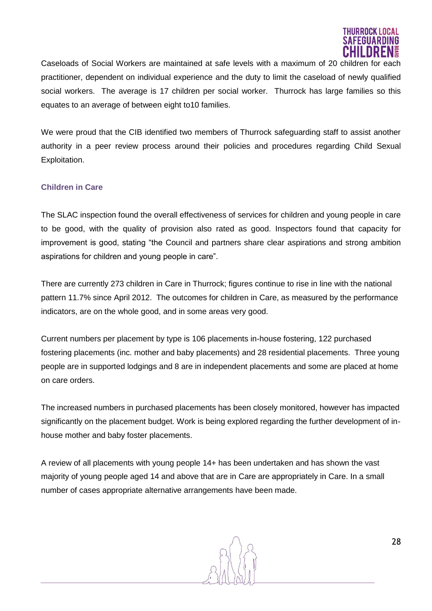

Caseloads of Social Workers are maintained at safe levels with a maximum of 20 children for each practitioner, dependent on individual experience and the duty to limit the caseload of newly qualified social workers. The average is 17 children per social worker. Thurrock has large families so this equates to an average of between eight to10 families.

We were proud that the CIB identified two members of Thurrock safeguarding staff to assist another authority in a peer review process around their policies and procedures regarding Child Sexual Exploitation.

# **Children in Care**

The SLAC inspection found the overall effectiveness of services for children and young people in care to be good, with the quality of provision also rated as good. Inspectors found that capacity for improvement is good, stating "the Council and partners share clear aspirations and strong ambition aspirations for children and young people in care".

There are currently 273 children in Care in Thurrock; figures continue to rise in line with the national pattern 11.7% since April 2012. The outcomes for children in Care, as measured by the performance indicators, are on the whole good, and in some areas very good.

Current numbers per placement by type is 106 placements in-house fostering, 122 purchased fostering placements (inc. mother and baby placements) and 28 residential placements. Three young people are in supported lodgings and 8 are in independent placements and some are placed at home on care orders.

The increased numbers in purchased placements has been closely monitored, however has impacted significantly on the placement budget. Work is being explored regarding the further development of inhouse mother and baby foster placements.

A review of all placements with young people 14+ has been undertaken and has shown the vast majority of young people aged 14 and above that are in Care are appropriately in Care. In a small number of cases appropriate alternative arrangements have been made.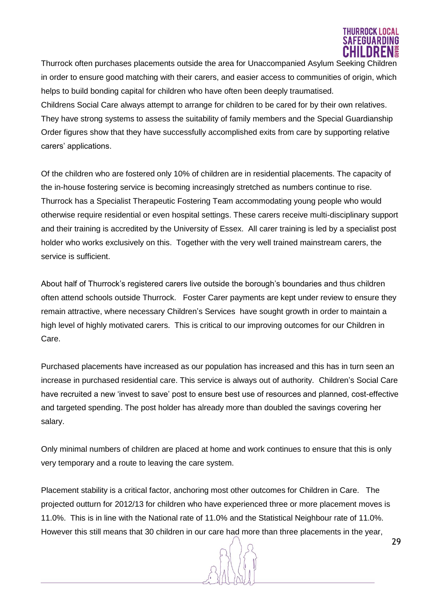

Thurrock often purchases placements outside the area for Unaccompanied Asylum Seeking Children in order to ensure good matching with their carers, and easier access to communities of origin, which helps to build bonding capital for children who have often been deeply traumatised. Childrens Social Care always attempt to arrange for children to be cared for by their own relatives. They have strong systems to assess the suitability of family members and the Special Guardianship Order figures show that they have successfully accomplished exits from care by supporting relative carers' applications.

Of the children who are fostered only 10% of children are in residential placements. The capacity of the in-house fostering service is becoming increasingly stretched as numbers continue to rise. Thurrock has a Specialist Therapeutic Fostering Team accommodating young people who would otherwise require residential or even hospital settings. These carers receive multi-disciplinary support and their training is accredited by the University of Essex. All carer training is led by a specialist post holder who works exclusively on this. Together with the very well trained mainstream carers, the service is sufficient.

About half of Thurrock's registered carers live outside the borough's boundaries and thus children often attend schools outside Thurrock. Foster Carer payments are kept under review to ensure they remain attractive, where necessary Children's Services have sought growth in order to maintain a high level of highly motivated carers. This is critical to our improving outcomes for our Children in Care.

Purchased placements have increased as our population has increased and this has in turn seen an increase in purchased residential care. This service is always out of authority. Children's Social Care have recruited a new 'invest to save' post to ensure best use of resources and planned, cost-effective and targeted spending. The post holder has already more than doubled the savings covering her salary.

Only minimal numbers of children are placed at home and work continues to ensure that this is only very temporary and a route to leaving the care system.

Placement stability is a critical factor, anchoring most other outcomes for Children in Care. The projected outturn for 2012/13 for children who have experienced three or more placement moves is 11.0%. This is in line with the National rate of 11.0% and the Statistical Neighbour rate of 11.0%. However this still means that 30 children in our care had more than three placements in the year,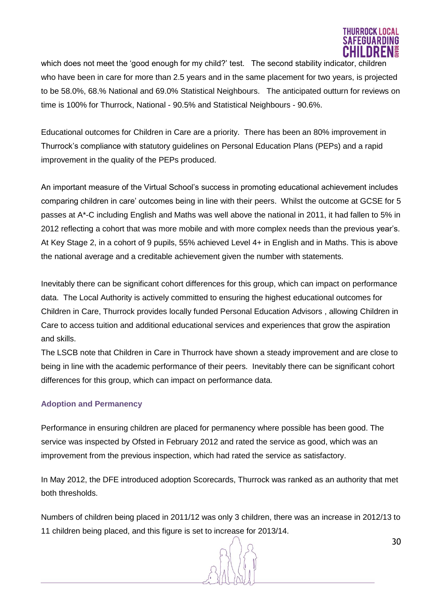

which does not meet the 'good enough for my child?' test. The second stability indicator, children who have been in care for more than 2.5 years and in the same placement for two years, is projected to be 58.0%, 68.% National and 69.0% Statistical Neighbours. The anticipated outturn for reviews on time is 100% for Thurrock, National - 90.5% and Statistical Neighbours - 90.6%.

Educational outcomes for Children in Care are a priority. There has been an 80% improvement in Thurrock's compliance with statutory guidelines on Personal Education Plans (PEPs) and a rapid improvement in the quality of the PEPs produced.

An important measure of the Virtual School's success in promoting educational achievement includes comparing children in care' outcomes being in line with their peers. Whilst the outcome at GCSE for 5 passes at A\*-C including English and Maths was well above the national in 2011, it had fallen to 5% in 2012 reflecting a cohort that was more mobile and with more complex needs than the previous year's. At Key Stage 2, in a cohort of 9 pupils, 55% achieved Level 4+ in English and in Maths. This is above the national average and a creditable achievement given the number with statements.

Inevitably there can be significant cohort differences for this group, which can impact on performance data. The Local Authority is actively committed to ensuring the highest educational outcomes for Children in Care, Thurrock provides locally funded Personal Education Advisors , allowing Children in Care to access tuition and additional educational services and experiences that grow the aspiration and skills.

The LSCB note that Children in Care in Thurrock have shown a steady improvement and are close to being in line with the academic performance of their peers. Inevitably there can be significant cohort differences for this group, which can impact on performance data.

# **Adoption and Permanency**

Performance in ensuring children are placed for permanency where possible has been good. The service was inspected by Ofsted in February 2012 and rated the service as good, which was an improvement from the previous inspection, which had rated the service as satisfactory.

In May 2012, the DFE introduced adoption Scorecards, Thurrock was ranked as an authority that met both thresholds.

Numbers of children being placed in 2011/12 was only 3 children, there was an increase in 2012/13 to 11 children being placed, and this figure is set to increase for 2013/14.

30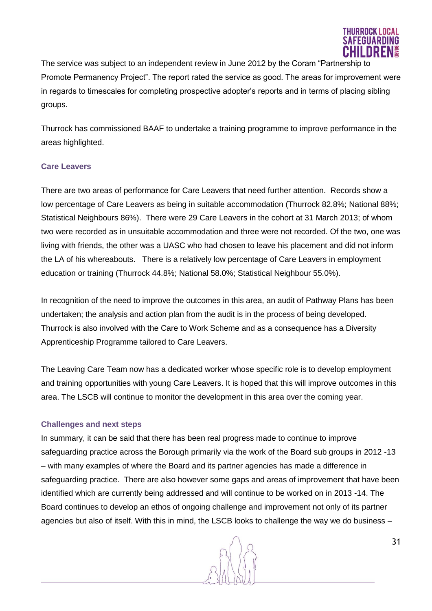

The service was subject to an independent review in June 2012 by the Coram "Partnership to Promote Permanency Project". The report rated the service as good. The areas for improvement were in regards to timescales for completing prospective adopter's reports and in terms of placing sibling groups.

Thurrock has commissioned BAAF to undertake a training programme to improve performance in the areas highlighted.

#### **Care Leavers**

There are two areas of performance for Care Leavers that need further attention. Records show a low percentage of Care Leavers as being in suitable accommodation (Thurrock 82.8%; National 88%; Statistical Neighbours 86%). There were 29 Care Leavers in the cohort at 31 March 2013; of whom two were recorded as in unsuitable accommodation and three were not recorded. Of the two, one was living with friends, the other was a UASC who had chosen to leave his placement and did not inform the LA of his whereabouts. There is a relatively low percentage of Care Leavers in employment education or training (Thurrock 44.8%; National 58.0%; Statistical Neighbour 55.0%).

In recognition of the need to improve the outcomes in this area, an audit of Pathway Plans has been undertaken; the analysis and action plan from the audit is in the process of being developed. Thurrock is also involved with the Care to Work Scheme and as a consequence has a Diversity Apprenticeship Programme tailored to Care Leavers.

The Leaving Care Team now has a dedicated worker whose specific role is to develop employment and training opportunities with young Care Leavers. It is hoped that this will improve outcomes in this area. The LSCB will continue to monitor the development in this area over the coming year.

#### **Challenges and next steps**

In summary, it can be said that there has been real progress made to continue to improve safeguarding practice across the Borough primarily via the work of the Board sub groups in 2012 -13 – with many examples of where the Board and its partner agencies has made a difference in safeguarding practice. There are also however some gaps and areas of improvement that have been identified which are currently being addressed and will continue to be worked on in 2013 -14. The Board continues to develop an ethos of ongoing challenge and improvement not only of its partner agencies but also of itself. With this in mind, the LSCB looks to challenge the way we do business –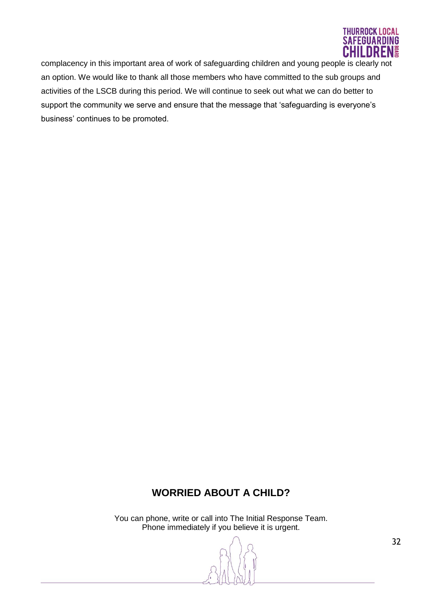

complacency in this important area of work of safeguarding children and young people is clearly not an option. We would like to thank all those members who have committed to the sub groups and activities of the LSCB during this period. We will continue to seek out what we can do better to support the community we serve and ensure that the message that 'safeguarding is everyone's business' continues to be promoted.

# **WORRIED ABOUT A CHILD?**

You can phone, write or call into The Initial Response Team. Phone immediately if you believe it is urgent.